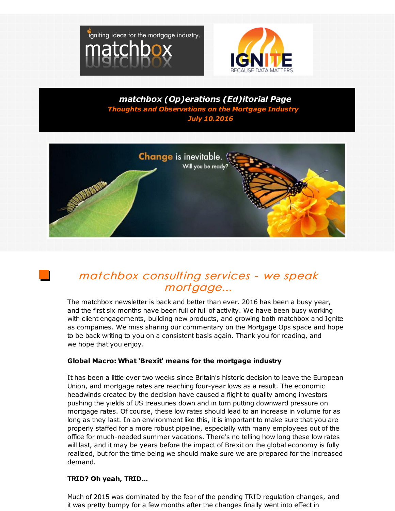



*matchbox (Op)erations (Ed)itorial Page Thoughts and Observations on the Mortgage Industry July 10.2016*



## matchbox consulting services - we speak mortgage...

The matchbox newsletter is back and better than ever. 2016 has been a busy year, and the first six months have been full of full of activity. We have been busy working with client engagements, building new products, and growing both matchbox and Ignite as companies. We miss sharing our commentary on the Mortgage Ops space and hope to be back writing to you on a consistent basis again. Thank you for reading, and we hope that you enjoy.

## **Global Macro: What 'Brexit' means for the mortgage industry**

It has been a little over two weeks since Britain's historic decision to leave the European Union, and mortgage rates are reaching four-year lows as a result. The economic headwinds created by the decision have caused a flight to quality among investors pushing the yields of US treasuries down and in turn putting downward pressure on mortgage rates. Of course, these low rates should lead to an increase in volume for as long as they last. In an environment like this, it is important to make sure that you are properly staffed for a more robust pipeline, especially with many employees out of the office for much-needed summer vacations. There's no telling how long these low rates will last, and it may be years before the impact of Brexit on the global economy is fully realized, but for the time being we should make sure we are prepared for the increased demand.

## **TRID? Oh yeah, TRID...**

Much of 2015 was dominated by the fear of the pending TRID regulation changes, and it was pretty bumpy for a few months after the changes finally went into effect in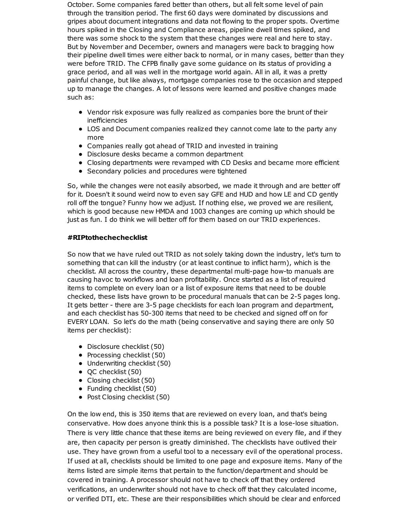October. Some companies fared better than others, but all felt some level of pain through the transition period. The first 60 days were dominated by discussions and gripes about document integrations and data not flowing to the proper spots. Overtime hours spiked in the Closing and Compliance areas, pipeline dwell times spiked, and there was some shock to the system that these changes were real and here to stay. But by November and December, owners and managers were back to bragging how their pipeline dwell times were either back to normal, or in many cases, better than they were before TRID. The CFPB finally gave some guidance on its status of providing a grace period, and all was well in the mortgage world again. All in all, it was a pretty painful change, but like always, mortgage companies rose to the occasion and stepped up to manage the changes. A lot of lessons were learned and positive changes made such as:

- Vendor risk exposure was fully realized as companies bore the brunt of their inefficiencies
- LOS and Document companies realized they cannot come late to the party any more
- Companies really got ahead of TRID and invested in training
- Disclosure desks became a common department
- Closing departments were revamped with CD Desks and became more efficient
- Secondary policies and procedures were tightened

So, while the changes were not easily absorbed, we made it through and are better off for it. Doesn't it sound weird now to even say GFE and HUD and how LE and CD gently roll off the tongue? Funny how we adjust. If nothing else, we proved we are resilient, which is good because new HMDA and 1003 changes are coming up which should be just as fun. I do think we will better off for them based on our TRID experiences.

## **#RIPtothechechecklist**

So now that we have ruled out TRID as not solely taking down the industry, let's turn to something that can kill the industry (or at least continue to inflict harm), which is the checklist. All across the country, these departmental multi-page how-to manuals are causing havoc to workflows and loan profitability. Once started as a list of required items to complete on every loan or a list of exposure items that need to be double checked, these lists have grown to be procedural manuals that can be 2-5 pages long. It gets better - there are 3-5 page checklists for each loan program and department, and each checklist has 50-300 items that need to be checked and signed off on for EVERY LOAN. So let's do the math (being conservative and saying there are only 50 items per checklist):

- Disclosure checklist (50)
- Processing checklist (50)
- Underwriting checklist (50)
- QC checklist (50)
- Closing checklist (50)
- Funding checklist (50)
- Post Closing checklist (50)

On the low end, this is 350 items that are reviewed on every loan, and that's being conservative. How does anyone think this is a possible task? It is a lose-lose situation. There is very little chance that these items are being reviewed on every file, and if they are, then capacity per person is greatly diminished. The checklists have outlived their use. They have grown from a useful tool to a necessary evil of the operational process. If used at all, checklists should be limited to one page and exposure items. Many of the items listed are simple items that pertain to the function/department and should be covered in training. A processor should not have to check off that they ordered verifications, an underwriter should not have to check off that they calculated income, or verified DTI, etc. These are their responsibilities which should be clear and enforced